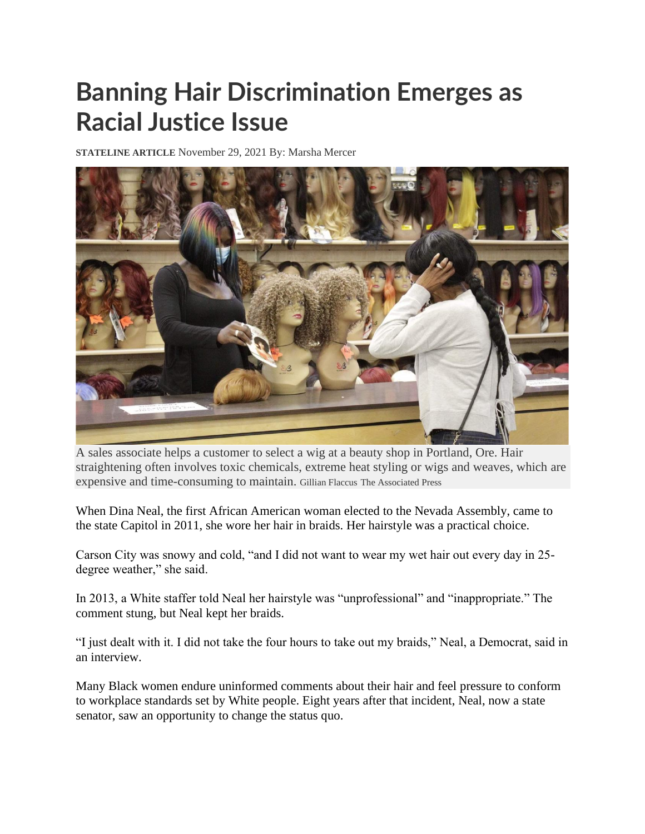## **Banning Hair Discrimination Emerges as Racial Justice Issue**

**STATELINE ARTICLE** November 29, 2021 By: Marsha Mercer



A sales associate helps a customer to select a wig at a beauty shop in Portland, Ore. Hair straightening often involves toxic chemicals, extreme heat styling or wigs and weaves, which are expensive and time-consuming to maintain. Gillian Flaccus The Associated Press

When Dina Neal, the first African American woman elected to the Nevada Assembly, came to the state Capitol in 2011, she wore her hair in braids. Her hairstyle was a practical choice.

Carson City was snowy and cold, "and I did not want to wear my wet hair out every day in 25 degree weather," she said.

In 2013, a White staffer told Neal her hairstyle was "unprofessional" and "inappropriate." The comment stung, but Neal kept her braids.

"I just dealt with it. I did not take the four hours to take out my braids," Neal, a Democrat, said in an interview.

Many Black women endure uninformed comments about their hair and feel pressure to conform to workplace standards set by White people. Eight years after that incident, Neal, now a state senator, saw an opportunity to change the status quo.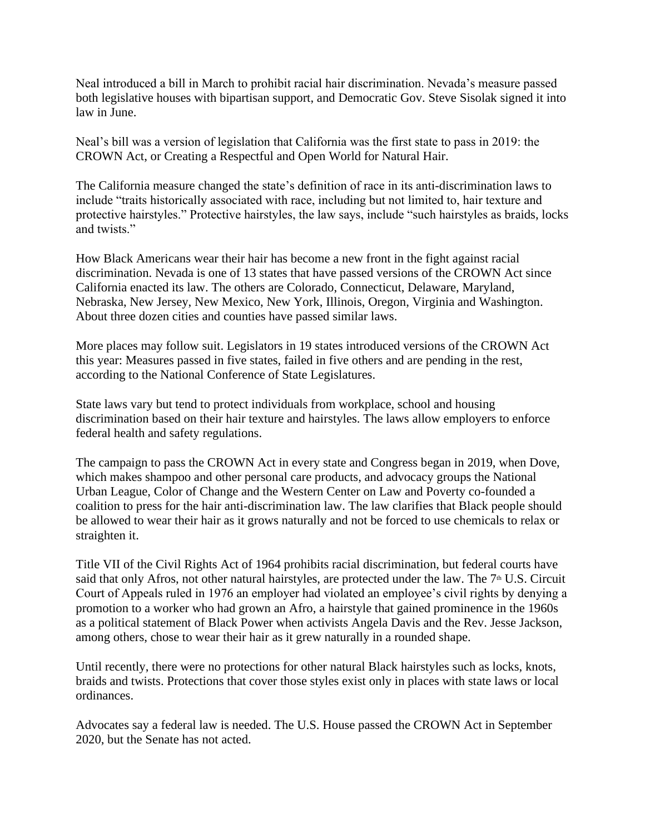Neal introduced a bill in March to prohibit racial hair discrimination. Nevada's measure passed both legislative houses with bipartisan support, and Democratic Gov. Steve Sisolak signed it into law in June.

Neal's bill was a version of legislation that California was the first state to pass in 2019: the CROWN Act, or Creating a Respectful and Open World for Natural Hair.

The California measure changed the state's definition of race in its anti-discrimination laws to include "traits historically associated with race, including but not limited to, hair texture and protective hairstyles." Protective hairstyles, the law says, include "such hairstyles as braids, locks and twists."

How Black Americans wear their hair has become a new front in the fight against racial discrimination. Nevada is one of 13 states that have passed versions of the CROWN Act since California enacted its law. The others are Colorado, Connecticut, Delaware, Maryland, Nebraska, New Jersey, New Mexico, New York, Illinois, Oregon, Virginia and Washington. About three dozen cities and counties have passed similar laws.

More places may follow suit. Legislators in 19 states introduced versions of the CROWN Act this year: Measures passed in five states, failed in five others and are pending in the rest, according to the National Conference of State Legislatures.

State laws vary but tend to protect individuals from workplace, school and housing discrimination based on their hair texture and hairstyles. The laws allow employers to enforce federal health and safety regulations.

The campaign to pass the CROWN Act in every state and Congress began in 2019, when Dove, which makes shampoo and other personal care products, and advocacy groups the National Urban League, Color of Change and the Western Center on Law and Poverty co-founded a coalition to press for the hair anti-discrimination law. The law clarifies that Black people should be allowed to wear their hair as it grows naturally and not be forced to use chemicals to relax or straighten it.

Title VII of the Civil Rights Act of 1964 prohibits racial discrimination, but federal courts have said that only Afros, not other natural hairstyles, are protected under the law. The 7<sup>th</sup> U.S. Circuit Court of Appeals ruled in 1976 an employer had violated an employee's civil rights by denying a promotion to a worker who had grown an Afro, a hairstyle that gained prominence in the 1960s as a political statement of Black Power when activists Angela Davis and the Rev. Jesse Jackson, among others, chose to wear their hair as it grew naturally in a rounded shape.

Until recently, there were no protections for other natural Black hairstyles such as locks, knots, braids and twists. Protections that cover those styles exist only in places with state laws or local ordinances.

Advocates say a federal law is needed. The U.S. House passed the CROWN Act in September 2020, but the Senate has not acted.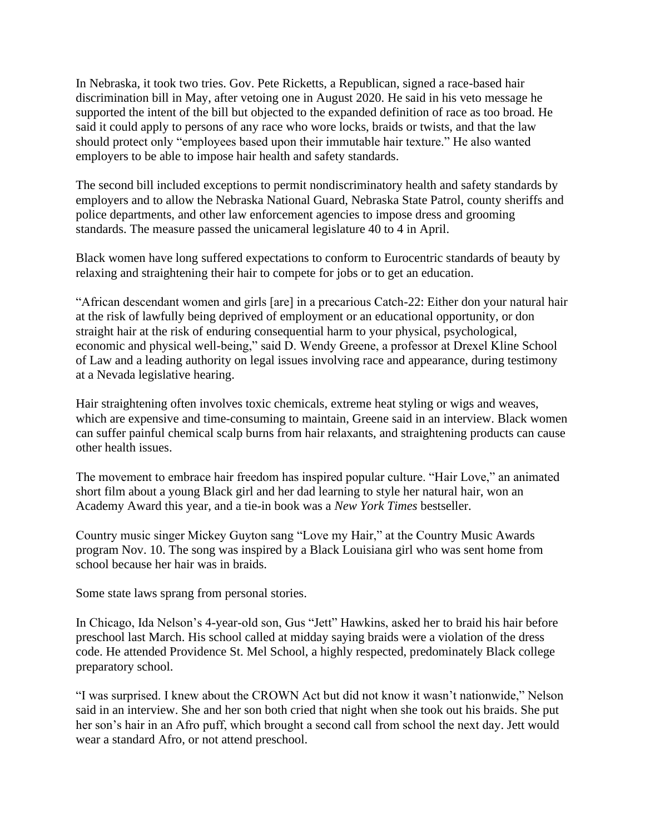In Nebraska, it took two tries. Gov. Pete Ricketts, a Republican, signed a race-based hair discrimination bill in May, after vetoing one in August 2020. He said in his veto message he supported the intent of the bill but objected to the expanded definition of race as too broad. He said it could apply to persons of any race who wore locks, braids or twists, and that the law should protect only "employees based upon their immutable hair texture." He also wanted employers to be able to impose hair health and safety standards.

The second bill included exceptions to permit nondiscriminatory health and safety standards by employers and to allow the Nebraska National Guard, Nebraska State Patrol, county sheriffs and police departments, and other law enforcement agencies to impose dress and grooming standards. The measure passed the unicameral legislature 40 to 4 in April.

Black women have long suffered expectations to conform to Eurocentric standards of beauty by relaxing and straightening their hair to compete for jobs or to get an education.

"African descendant women and girls [are] in a precarious Catch-22: Either don your natural hair at the risk of lawfully being deprived of employment or an educational opportunity, or don straight hair at the risk of enduring consequential harm to your physical, psychological, economic and physical well-being," said D. Wendy Greene, a professor at Drexel Kline School of Law and a leading authority on legal issues involving race and appearance, during testimony at a Nevada legislative hearing.

Hair straightening often involves toxic chemicals, extreme heat styling or wigs and weaves, which are expensive and time-consuming to maintain, Greene said in an interview. Black women can suffer painful chemical scalp burns from hair relaxants, and straightening products can cause other health issues.

The movement to embrace hair freedom has inspired popular culture. "Hair Love," an animated short film about a young Black girl and her dad learning to style her natural hair, won an Academy Award this year, and a tie-in book was a *New York Times* bestseller.

Country music singer Mickey Guyton sang "Love my Hair," at the Country Music Awards program Nov. 10. The song was inspired by a Black Louisiana girl who was sent home from school because her hair was in braids.

Some state laws sprang from personal stories.

In Chicago, Ida Nelson's 4-year-old son, Gus "Jett" Hawkins, asked her to braid his hair before preschool last March. His school called at midday saying braids were a violation of the dress code. He attended Providence St. Mel School, a highly respected, predominately Black college preparatory school.

"I was surprised. I knew about the CROWN Act but did not know it wasn't nationwide," Nelson said in an interview. She and her son both cried that night when she took out his braids. She put her son's hair in an Afro puff, which brought a second call from school the next day. Jett would wear a standard Afro, or not attend preschool.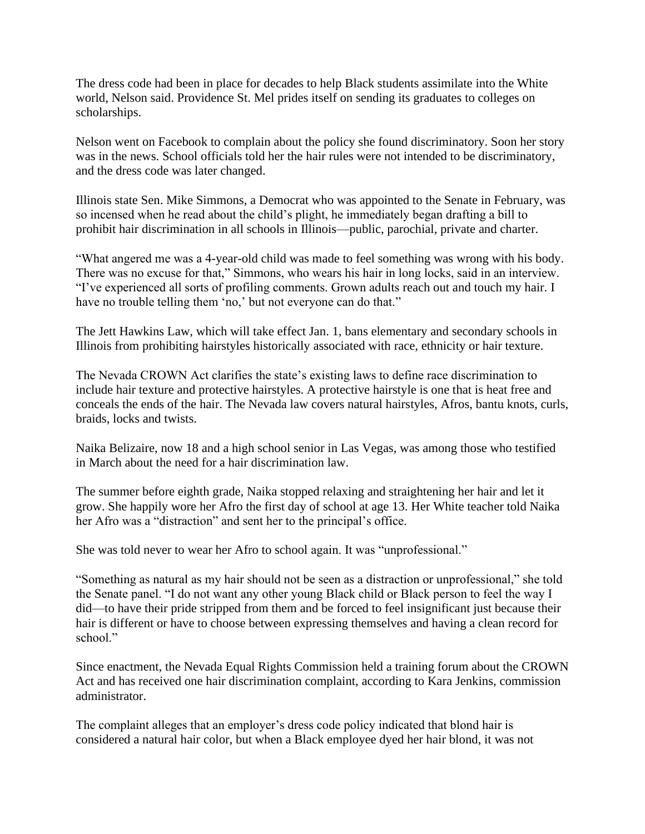The dress code had been in place for decades to help Black students assimilate into the White world, Nelson said. Providence St. Mel prides itself on sending its graduates to colleges on scholarships.

Nelson went on Facebook to complain about the policy she found discriminatory. Soon her story was in the news. School officials told her the hair rules were not intended to be discriminatory, and the dress code was later changed.

Illinois state Sen. Mike Simmons, a Democrat who was appointed to the Senate in February, was so incensed when he read about the child's plight, he immediately began drafting a bill to prohibit hair discrimination in all schools in Illinois—public, parochial, private and charter.

"What angered me was a 4-year-old child was made to feel something was wrong with his body. There was no excuse for that," Simmons, who wears his hair in long locks, said in an interview. "I've experienced all sorts of profiling comments. Grown adults reach out and touch my hair. I have no trouble telling them 'no,' but not everyone can do that."

The Jett Hawkins Law, which will take effect Jan. 1, bans elementary and secondary schools in Illinois from prohibiting hairstyles historically associated with race, ethnicity or hair texture.

The Nevada CROWN Act clarifies the state's existing laws to define race discrimination to include hair texture and protective hairstyles. A protective hairstyle is one that is heat free and conceals the ends of the hair. The Nevada law covers natural hairstyles, Afros, bantu knots, curls, braids, locks and twists.

Naika Belizaire, now 18 and a high school senior in Las Vegas, was among those who testified in March about the need for a hair discrimination law.

The summer before eighth grade, Naika stopped relaxing and straightening her hair and let it grow. She happily wore her Afro the first day of school at age 13. Her White teacher told Naika her Afro was a "distraction" and sent her to the principal's office.

She was told never to wear her Afro to school again. It was "unprofessional."

"Something as natural as my hair should not be seen as a distraction or unprofessional," she told the Senate panel. "I do not want any other young Black child or Black person to feel the way I did—to have their pride stripped from them and be forced to feel insignificant just because their hair is different or have to choose between expressing themselves and having a clean record for school."

Since enactment, the Nevada Equal Rights Commission held a training forum about the CROWN Act and has received one hair discrimination complaint, according to Kara Jenkins, commission administrator.

The complaint alleges that an employer's dress code policy indicated that blond hair is considered a natural hair color, but when a Black employee dyed her hair blond, it was not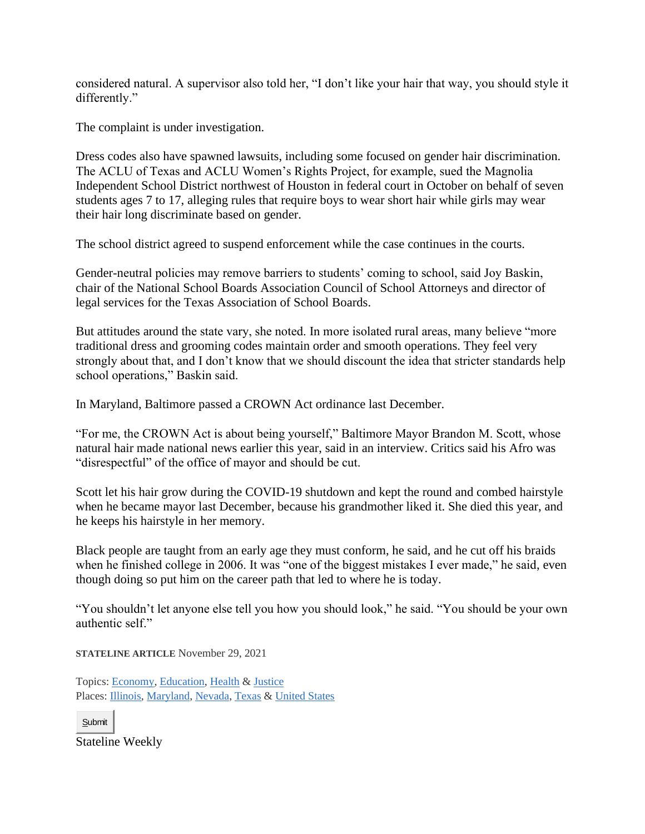considered natural. A supervisor also told her, "I don't like your hair that way, you should style it differently."

The complaint is under investigation.

Dress codes also have spawned lawsuits, including some focused on gender hair discrimination. The ACLU of Texas and ACLU Women's Rights Project, for example, sued the Magnolia Independent School District northwest of Houston in federal court in October on behalf of seven students ages 7 to 17, alleging rules that require boys to wear short hair while girls may wear their hair long discriminate based on gender.

The school district agreed to suspend enforcement while the case continues in the courts.

Gender-neutral policies may remove barriers to students' coming to school, said Joy Baskin, chair of the National School Boards Association Council of School Attorneys and director of legal services for the Texas Association of School Boards.

But attitudes around the state vary, she noted. In more isolated rural areas, many believe "more traditional dress and grooming codes maintain order and smooth operations. They feel very strongly about that, and I don't know that we should discount the idea that stricter standards help school operations," Baskin said.

In Maryland, Baltimore passed a CROWN Act ordinance last December.

"For me, the CROWN Act is about being yourself," Baltimore Mayor Brandon M. Scott, whose natural hair made national news earlier this year, said in an interview. Critics said his Afro was "disrespectful" of the office of mayor and should be cut.

Scott let his hair grow during the COVID-19 shutdown and kept the round and combed hairstyle when he became mayor last December, because his grandmother liked it. She died this year, and he keeps his hairstyle in her memory.

Black people are taught from an early age they must conform, he said, and he cut off his braids when he finished college in 2006. It was "one of the biggest mistakes I ever made," he said, even though doing so put him on the career path that led to where he is today.

"You shouldn't let anyone else tell you how you should look," he said. "You should be your own authentic self."

**STATELINE ARTICLE** November 29, 2021

Topics: [Economy,](https://www.pewtrusts.org/en/search?topic=Economy) [Education,](https://www.pewtrusts.org/en/search?topic=Education) [Health](https://www.pewtrusts.org/en/search?topic=Health) & [Justice](https://www.pewtrusts.org/en/search?topic=Justice) Places: [Illinois,](https://www.pewtrusts.org/en/search?places=North%20America|United%20States|Illinois) [Maryland,](https://www.pewtrusts.org/en/search?places=North%20America|United%20States|Maryland) [Nevada,](https://www.pewtrusts.org/en/search?places=North%20America|United%20States|Nevada) [Texas](https://www.pewtrusts.org/en/search?places=North%20America|United%20States|Texas) & [United States](https://www.pewtrusts.org/en/search?places=North%20America|United%20States)

Submit

Stateline Weekly